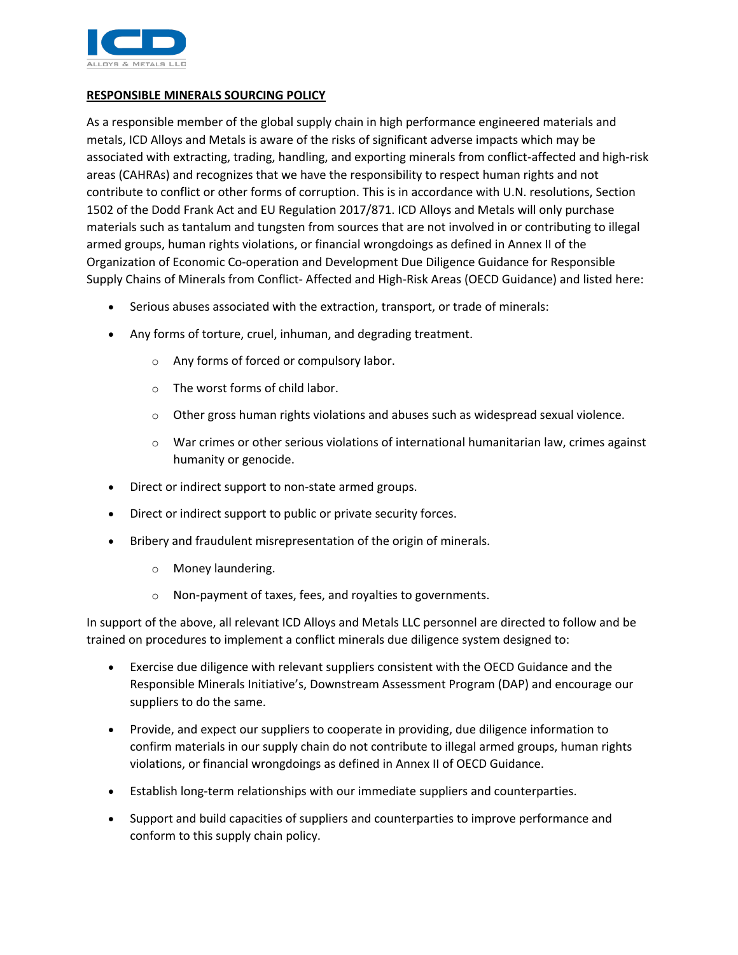

## **RESPONSIBLE MINERALS SOURCING POLICY**

As a responsible member of the global supply chain in high performance engineered materials and metals, ICD Alloys and Metals is aware of the risks of significant adverse impacts which may be associated with extracting, trading, handling, and exporting minerals from conflict-affected and high-risk areas (CAHRAs) and recognizes that we have the responsibility to respect human rights and not contribute to conflict or other forms of corruption. This is in accordance with U.N. resolutions, Section 1502 of the Dodd Frank Act and EU Regulation 2017/871. ICD Alloys and Metals will only purchase materials such as tantalum and tungsten from sources that are not involved in or contributing to illegal armed groups, human rights violations, or financial wrongdoings as defined in Annex II of the Organization of Economic Co-operation and Development Due Diligence Guidance for Responsible Supply Chains of Minerals from Conflict- Affected and High-Risk Areas (OECD Guidance) and listed here:

- Serious abuses associated with the extraction, transport, or trade of minerals:
- Any forms of torture, cruel, inhuman, and degrading treatment.
	- o Any forms of forced or compulsory labor.
	- o The worst forms of child labor.
	- $\circ$  Other gross human rights violations and abuses such as widespread sexual violence.
	- $\circ$  War crimes or other serious violations of international humanitarian law, crimes against humanity or genocide.
- Direct or indirect support to non-state armed groups.
- Direct or indirect support to public or private security forces.
- Bribery and fraudulent misrepresentation of the origin of minerals.
	- o Money laundering.
	- o Non-payment of taxes, fees, and royalties to governments.

In support of the above, all relevant ICD Alloys and Metals LLC personnel are directed to follow and be trained on procedures to implement a conflict minerals due diligence system designed to:

- Exercise due diligence with relevant suppliers consistent with the OECD Guidance and the Responsible Minerals Initiative's, Downstream Assessment Program (DAP) and encourage our suppliers to do the same.
- Provide, and expect our suppliers to cooperate in providing, due diligence information to confirm materials in our supply chain do not contribute to illegal armed groups, human rights violations, or financial wrongdoings as defined in Annex II of OECD Guidance.
- Establish long-term relationships with our immediate suppliers and counterparties.
- Support and build capacities of suppliers and counterparties to improve performance and conform to this supply chain policy.